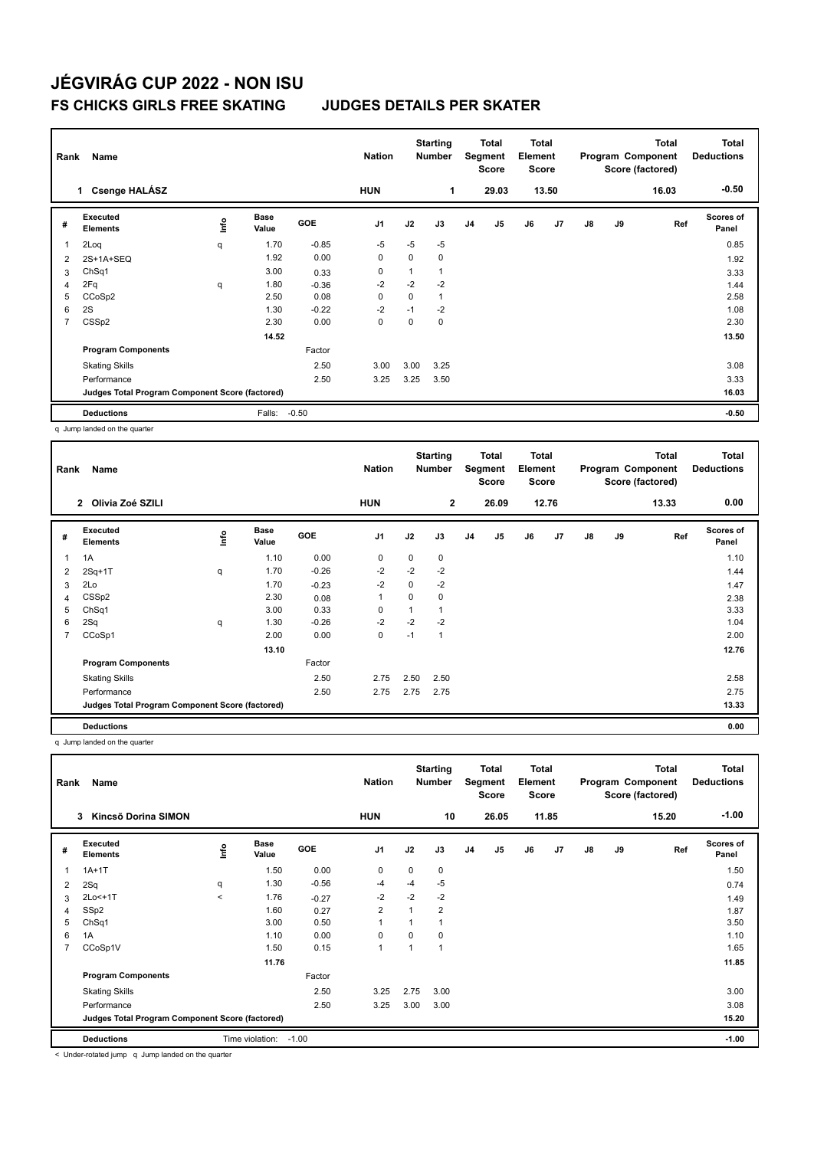| Rank<br>Name                |                 |                      |                                                 | <b>Nation</b>  |             | <b>Starting</b><br><b>Number</b> |                |                | <b>Total</b><br>Element<br><b>Score</b>          |    |               |    | <b>Total</b> | <b>Total</b><br><b>Deductions</b><br>$-0.50$          |
|-----------------------------|-----------------|----------------------|-------------------------------------------------|----------------|-------------|----------------------------------|----------------|----------------|--------------------------------------------------|----|---------------|----|--------------|-------------------------------------------------------|
|                             |                 |                      |                                                 |                |             |                                  |                |                |                                                  |    |               |    |              |                                                       |
| Executed<br><b>Elements</b> | lnfo            | <b>Base</b><br>Value | <b>GOE</b>                                      | J <sub>1</sub> | J2          | J3                               | J <sub>4</sub> | J <sub>5</sub> | J6                                               | J7 | $\mathsf{J}8$ | J9 |              | <b>Scores of</b><br>Panel                             |
| 2Loq                        | q               | 1.70                 | $-0.85$                                         | $-5$           | $-5$        | $-5$                             |                |                |                                                  |    |               |    |              | 0.85                                                  |
| 2S+1A+SEQ                   |                 | 1.92                 | 0.00                                            | 0              | 0           | 0                                |                |                |                                                  |    |               |    |              | 1.92                                                  |
| ChSq1                       |                 | 3.00                 | 0.33                                            | 0              |             | $\mathbf{1}$                     |                |                |                                                  |    |               |    |              | 3.33                                                  |
| 2Fq                         | q               | 1.80                 | $-0.36$                                         | $-2$           | $-2$        | $-2$                             |                |                |                                                  |    |               |    |              | 1.44                                                  |
| CCoSp2                      |                 | 2.50                 | 0.08                                            | $\mathbf 0$    | $\mathbf 0$ | $\mathbf{1}$                     |                |                |                                                  |    |               |    |              | 2.58                                                  |
| 2S                          |                 | 1.30                 | $-0.22$                                         | $-2$           | $-1$        | $-2$                             |                |                |                                                  |    |               |    |              | 1.08                                                  |
| CSS <sub>p2</sub>           |                 | 2.30                 | 0.00                                            | $\mathbf 0$    | 0           | 0                                |                |                |                                                  |    |               |    |              | 2.30                                                  |
|                             |                 | 14.52                |                                                 |                |             |                                  |                |                |                                                  |    |               |    |              | 13.50                                                 |
| <b>Program Components</b>   |                 |                      | Factor                                          |                |             |                                  |                |                |                                                  |    |               |    |              |                                                       |
| <b>Skating Skills</b>       |                 |                      | 2.50                                            | 3.00           | 3.00        | 3.25                             |                |                |                                                  |    |               |    |              | 3.08                                                  |
| Performance                 |                 |                      | 2.50                                            | 3.25           | 3.25        | 3.50                             |                |                |                                                  |    |               |    |              | 3.33                                                  |
|                             |                 |                      |                                                 |                |             |                                  |                |                |                                                  |    |               |    |              | 16.03                                                 |
| <b>Deductions</b>           |                 | Falls:               |                                                 |                |             |                                  |                |                |                                                  |    |               |    |              | $-0.50$                                               |
|                             | 1 Csenge HALÁSZ |                      | Judges Total Program Component Score (factored) | $-0.50$        | <b>HUN</b>  |                                  | 1              |                | <b>Total</b><br>Segment<br><b>Score</b><br>29.03 |    | 13.50         |    |              | Program Component<br>Score (factored)<br>16.03<br>Ref |

q Jump landed on the quarter

| Rank | Name                                            |      |                      |            | <b>Nation</b>  |          | <b>Starting</b><br><b>Number</b> |                | Total<br>Segment<br><b>Score</b> | Total<br>Element<br><b>Score</b> |                | Program Component<br>Score (factored) |    | <b>Total</b> | <b>Total</b><br><b>Deductions</b> |
|------|-------------------------------------------------|------|----------------------|------------|----------------|----------|----------------------------------|----------------|----------------------------------|----------------------------------|----------------|---------------------------------------|----|--------------|-----------------------------------|
|      | Olivia Zoé SZILI<br>$\mathbf{2}$                |      |                      |            | <b>HUN</b>     |          | $\mathbf{2}$                     |                | 26.09                            |                                  | 12.76          |                                       |    | 13.33        | 0.00                              |
| #    | Executed<br><b>Elements</b>                     | lnfo | <b>Base</b><br>Value | <b>GOE</b> | J <sub>1</sub> | J2       | J3                               | J <sub>4</sub> | J5                               | J6                               | J <sub>7</sub> | $\mathsf{J}8$                         | J9 | Ref          | Scores of<br>Panel                |
| 1    | 1A                                              |      | 1.10                 | 0.00       | 0              | 0        | 0                                |                |                                  |                                  |                |                                       |    |              | 1.10                              |
| 2    | $2Sq+1T$                                        | q    | 1.70                 | $-0.26$    | $-2$           | $-2$     | $-2$                             |                |                                  |                                  |                |                                       |    |              | 1.44                              |
| 3    | 2Lo                                             |      | 1.70                 | $-0.23$    | $-2$           | 0        | $-2$                             |                |                                  |                                  |                |                                       |    |              | 1.47                              |
| 4    | CSSp2                                           |      | 2.30                 | 0.08       | 1              | $\Omega$ | 0                                |                |                                  |                                  |                |                                       |    |              | 2.38                              |
| 5    | ChSq1                                           |      | 3.00                 | 0.33       | 0              |          | 1                                |                |                                  |                                  |                |                                       |    |              | 3.33                              |
| 6    | 2Sq                                             | q    | 1.30                 | $-0.26$    | $-2$           | $-2$     | $-2$                             |                |                                  |                                  |                |                                       |    |              | 1.04                              |
| 7    | CCoSp1                                          |      | 2.00                 | 0.00       | 0              | $-1$     | 1                                |                |                                  |                                  |                |                                       |    |              | 2.00                              |
|      |                                                 |      | 13.10                |            |                |          |                                  |                |                                  |                                  |                |                                       |    |              | 12.76                             |
|      | <b>Program Components</b>                       |      |                      | Factor     |                |          |                                  |                |                                  |                                  |                |                                       |    |              |                                   |
|      | <b>Skating Skills</b>                           |      |                      | 2.50       | 2.75           | 2.50     | 2.50                             |                |                                  |                                  |                |                                       |    |              | 2.58                              |
|      | Performance                                     |      |                      | 2.50       | 2.75           | 2.75     | 2.75                             |                |                                  |                                  |                |                                       |    |              | 2.75                              |
|      | Judges Total Program Component Score (factored) |      |                      |            |                |          |                                  |                |                                  |                                  |                |                                       |    |              | 13.33                             |
|      | <b>Deductions</b>                               |      |                      |            |                |          |                                  |                |                                  |                                  |                |                                       |    |              | 0.00                              |

q Jump landed on the quarter

| Rank           | Name                                            |       |                      |            | <b>Nation</b>  |                | <b>Starting</b><br><b>Number</b> |    | Total<br>Segment<br><b>Score</b> |    | <b>Total</b><br>Element<br><b>Score</b> |               |    | <b>Total</b><br>Program Component<br>Score (factored) | Total<br><b>Deductions</b> |
|----------------|-------------------------------------------------|-------|----------------------|------------|----------------|----------------|----------------------------------|----|----------------------------------|----|-----------------------------------------|---------------|----|-------------------------------------------------------|----------------------------|
|                | Kincsõ Dorina SIMON<br>3                        |       |                      |            | <b>HUN</b>     |                | 10                               |    | 26.05                            |    | 11.85                                   |               |    | 15.20                                                 | $-1.00$                    |
| #              | Executed<br><b>Elements</b>                     | lnfo  | <b>Base</b><br>Value | <b>GOE</b> | J <sub>1</sub> | J2             | J3                               | J4 | J <sub>5</sub>                   | J6 | J <sub>7</sub>                          | $\mathsf{J}8$ | J9 | Ref                                                   | <b>Scores of</b><br>Panel  |
| 1              | $1A+1T$                                         |       | 1.50                 | 0.00       | $\mathbf 0$    | $\Omega$       | 0                                |    |                                  |    |                                         |               |    |                                                       | 1.50                       |
| 2              | 2Sq                                             | q     | 1.30                 | $-0.56$    | $-4$           | $-4$           | $-5$                             |    |                                  |    |                                         |               |    |                                                       | 0.74                       |
| 3              | 2Lo<+1T                                         | $\,<$ | 1.76                 | $-0.27$    | $-2$           | $-2$           | $-2$                             |    |                                  |    |                                         |               |    |                                                       | 1.49                       |
| 4              | SSp2                                            |       | 1.60                 | 0.27       | $\overline{2}$ | $\overline{ }$ | $\overline{2}$                   |    |                                  |    |                                         |               |    |                                                       | 1.87                       |
| 5              | Ch <sub>Sq1</sub>                               |       | 3.00                 | 0.50       | $\overline{1}$ |                | 1                                |    |                                  |    |                                         |               |    |                                                       | 3.50                       |
| 6              | 1A                                              |       | 1.10                 | 0.00       | 0              | $\Omega$       | 0                                |    |                                  |    |                                         |               |    |                                                       | 1.10                       |
| $\overline{7}$ | CCoSp1V                                         |       | 1.50                 | 0.15       | $\overline{1}$ |                | $\mathbf{1}$                     |    |                                  |    |                                         |               |    |                                                       | 1.65                       |
|                |                                                 |       | 11.76                |            |                |                |                                  |    |                                  |    |                                         |               |    |                                                       | 11.85                      |
|                | <b>Program Components</b>                       |       |                      | Factor     |                |                |                                  |    |                                  |    |                                         |               |    |                                                       |                            |
|                | <b>Skating Skills</b>                           |       |                      | 2.50       | 3.25           | 2.75           | 3.00                             |    |                                  |    |                                         |               |    |                                                       | 3.00                       |
|                | Performance                                     |       |                      | 2.50       | 3.25           | 3.00           | 3.00                             |    |                                  |    |                                         |               |    |                                                       | 3.08                       |
|                | Judges Total Program Component Score (factored) |       |                      |            |                |                |                                  |    |                                  |    |                                         |               |    |                                                       | 15.20                      |
|                | <b>Deductions</b>                               |       | Time violation:      | $-1.00$    |                |                |                                  |    |                                  |    |                                         |               |    |                                                       | $-1.00$                    |

< Under-rotated jump q Jump landed on the quarter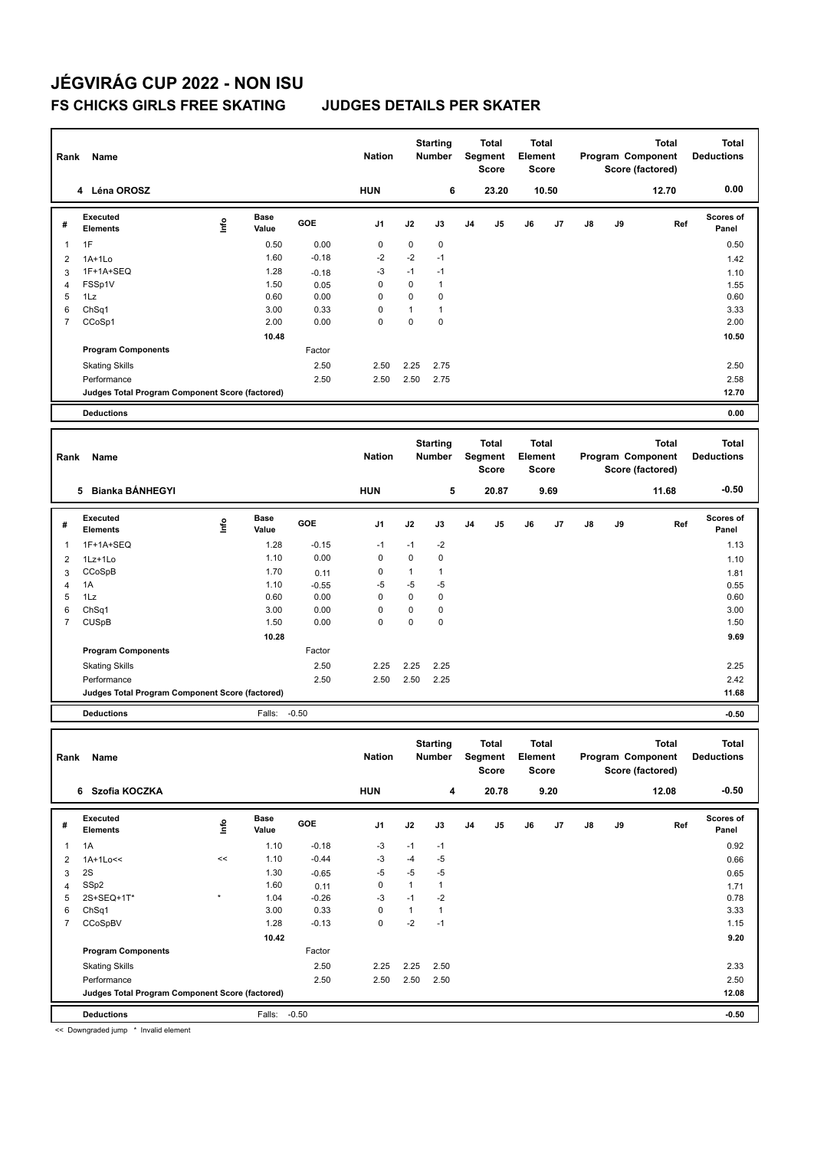| Rank           | Name                                            |                                  |               |         | <b>Nation</b> |              | <b>Starting</b><br>Number |                | <b>Total</b><br>Segment<br><b>Score</b> | Total<br>Element<br>Score |              |    |    | <b>Total</b><br>Program Component<br>Score (factored) | <b>Total</b><br><b>Deductions</b> |
|----------------|-------------------------------------------------|----------------------------------|---------------|---------|---------------|--------------|---------------------------|----------------|-----------------------------------------|---------------------------|--------------|----|----|-------------------------------------------------------|-----------------------------------|
|                | 4 Léna OROSZ                                    |                                  |               |         | <b>HUN</b>    |              | 6                         |                | 23.20                                   |                           | 10.50        |    |    | 12.70                                                 | 0.00                              |
| #              | <b>Executed</b><br><b>Elements</b>              | ١nf٥                             | Base<br>Value | GOE     | J1            | J2           | J3                        | J <sub>4</sub> | J5                                      | J6                        | J7           | J8 | J9 | Ref                                                   | Scores of<br>Panel                |
| 1              | 1F                                              |                                  | 0.50          | 0.00    | 0             | 0            | 0                         |                |                                         |                           |              |    |    |                                                       | 0.50                              |
| $\overline{2}$ | $1A+1Lo$                                        |                                  | 1.60          | $-0.18$ | $-2$          | $-2$         | $-1$                      |                |                                         |                           |              |    |    |                                                       | 1.42                              |
| 3              | 1F+1A+SEQ                                       |                                  | 1.28          | $-0.18$ | -3            | $-1$         | $-1$                      |                |                                         |                           |              |    |    |                                                       | 1.10                              |
| 4              | FSSp1V                                          |                                  | 1.50          | 0.05    | 0             | 0            | $\mathbf{1}$              |                |                                         |                           |              |    |    |                                                       | 1.55                              |
| 5              | 1Lz                                             |                                  | 0.60          | 0.00    | 0             | 0            | 0                         |                |                                         |                           |              |    |    |                                                       | 0.60                              |
| 6              | ChSq1                                           |                                  | 3.00          | 0.33    | 0             | $\mathbf{1}$ | $\mathbf{1}$              |                |                                         |                           |              |    |    |                                                       | 3.33                              |
| $\overline{7}$ | CCoSp1                                          |                                  | 2.00          | 0.00    | 0             | $\mathbf 0$  | 0                         |                |                                         |                           |              |    |    |                                                       | 2.00                              |
|                |                                                 |                                  | 10.48         |         |               |              |                           |                |                                         |                           |              |    |    |                                                       | 10.50                             |
|                | <b>Program Components</b>                       |                                  |               | Factor  |               |              |                           |                |                                         |                           |              |    |    |                                                       |                                   |
|                | <b>Skating Skills</b>                           |                                  |               | 2.50    | 2.50          | 2.25         | 2.75                      |                |                                         |                           |              |    |    |                                                       | 2.50                              |
|                | Performance                                     |                                  |               | 2.50    | 2.50          | 2.50         | 2.75                      |                |                                         |                           |              |    |    |                                                       | 2.58                              |
|                | Judges Total Program Component Score (factored) |                                  |               |         |               |              |                           |                |                                         |                           |              |    |    |                                                       | 12.70                             |
|                | <b>Deductions</b>                               |                                  |               |         |               |              |                           |                |                                         |                           |              |    |    |                                                       | 0.00                              |
|                |                                                 |                                  |               |         |               |              | <b>Starting</b>           |                | <b>Total</b>                            |                           | <b>Total</b> |    |    | <b>Total</b>                                          | <b>Total</b>                      |
| Rank           | Name                                            |                                  |               |         | <b>Nation</b> |              | Number                    |                | Segment<br><b>Score</b>                 | Element                   | Score        |    |    | Program Component<br>Score (factored)                 | <b>Deductions</b>                 |
|                | 5 Bianka BÁNHEGYI                               |                                  |               |         | <b>HUN</b>    |              | 5                         |                | 20.87                                   |                           | 9.69         |    |    | 11.68                                                 | $-0.50$                           |
|                | Executed                                        |                                  | Base          |         |               |              |                           |                |                                         |                           |              |    |    |                                                       | Scores of                         |
| #              | <b>Elements</b>                                 | $\mathop{\mathsf{Irr}}\nolimits$ | Value         | GOE     | J1            | J2           | J3                        | J <sub>4</sub> | J5                                      | J6                        | J7           | J8 | J9 | Ref                                                   | Panel                             |
| 1              | 1F+1A+SEQ                                       |                                  | 1.28          | $-0.15$ | $-1$          | $-1$         | $-2$                      |                |                                         |                           |              |    |    |                                                       | 1.13                              |
| 2              | 1Lz+1Lo                                         |                                  | 1.10          | 0.00    | 0             | 0            | 0                         |                |                                         |                           |              |    |    |                                                       | 1.10                              |
| 3              | CCoSpB                                          |                                  | 1.70          | 0.11    | 0             | $\mathbf{1}$ | 1                         |                |                                         |                           |              |    |    |                                                       | 1.81                              |
| 4              | 1A                                              |                                  | 1.10          | $-0.55$ | $-5$          | $-5$         | -5                        |                |                                         |                           |              |    |    |                                                       | 0.55                              |
| 5              | 1Lz                                             |                                  | 0.60          | 0.00    | 0             | $\mathbf 0$  | 0                         |                |                                         |                           |              |    |    |                                                       | 0.60                              |
| 6              | Ch <sub>Sq1</sub>                               |                                  | 3.00          | 0.00    | 0             | $\pmb{0}$    | 0                         |                |                                         |                           |              |    |    |                                                       | 3.00                              |
| 7              | <b>CUSpB</b>                                    |                                  | 1.50          | 0.00    | 0             | 0            | 0                         |                |                                         |                           |              |    |    |                                                       | 1.50                              |
|                |                                                 |                                  | 10.28         | Factor  |               |              |                           |                |                                         |                           |              |    |    |                                                       | 9.69                              |
|                | <b>Program Components</b>                       |                                  |               |         |               |              |                           |                |                                         |                           |              |    |    |                                                       |                                   |
|                | <b>Skating Skills</b>                           |                                  |               | 2.50    | 2.25          | 2.25         | 2.25                      |                |                                         |                           |              |    |    |                                                       | 2.25                              |
|                | Performance                                     |                                  |               | 2.50    | 2.50          | 2.50         | 2.25                      |                |                                         |                           |              |    |    |                                                       | 2.42                              |
|                | Judges Total Program Component Score (factored) |                                  |               |         |               |              |                           |                |                                         |                           |              |    |    |                                                       | 11.68                             |
|                | <b>Deductions</b>                               |                                  | Falls:        | $-0.50$ |               |              |                           |                |                                         |                           |              |    |    |                                                       | $-0.50$                           |
|                |                                                 |                                  |               |         |               |              | <b>Starting</b>           |                | <b>Total</b>                            |                           | <b>Total</b> |    |    | <b>Total</b>                                          | <b>Total</b>                      |
|                | Rank Name                                       |                                  |               |         | <b>Nation</b> |              | Number                    |                | Segment Element                         |                           |              |    |    | Program Component                                     | <b>Deductions</b>                 |
|                |                                                 |                                  |               |         |               |              |                           |                | Score                                   |                           | <b>Score</b> |    |    | Score (factored)                                      |                                   |
|                | 6 Szofia KOCZKA                                 |                                  |               |         | <b>HUN</b>    |              | 4                         |                | 20.78                                   |                           | 9.20         |    |    | 12.08                                                 | $-0.50$                           |
|                | Executed                                        |                                  | Base          |         |               |              |                           |                |                                         |                           |              |    |    |                                                       | Scores of                         |
| #              | <b>Elements</b>                                 | ١nfo                             | Value         | GOE     | J1            | J2           | J3                        | J4             | J5                                      | J6                        | J7           | J8 | J9 | Ref                                                   | Panel                             |
| 1              | 1A                                              |                                  | 1.10          | $-0.18$ | -3            | $-1$         | $-1$                      |                |                                         |                           |              |    |    |                                                       | 0.92                              |
| 2              | 1A+1Lo<<                                        | $\,<$                            | 1.10          | $-0.44$ | -3            | $-4$         | $-5$                      |                |                                         |                           |              |    |    |                                                       | 0.66                              |
| 3              | 2S                                              |                                  | 1.30          | $-0.65$ | -5            | -5           | -5                        |                |                                         |                           |              |    |    |                                                       | 0.65                              |
| 4              | SSp2                                            |                                  | 1.60          | 0.11    | 0             | $\mathbf{1}$ | $\mathbf{1}$              |                |                                         |                           |              |    |    |                                                       | 1.71                              |
| 5              | 2S+SEQ+1T*                                      |                                  | 1.04          | $-0.26$ | -3            | $-1$         | $-2$                      |                |                                         |                           |              |    |    |                                                       | 0.78                              |
| 6              | ChSq1                                           |                                  | 3.00          | 0.33    | 0             | $\mathbf{1}$ | 1                         |                |                                         |                           |              |    |    |                                                       | 3.33                              |
| $\overline{7}$ | CCoSpBV                                         |                                  | 1.28          | $-0.13$ | 0             | $-2$         | $-1$                      |                |                                         |                           |              |    |    |                                                       | 1.15                              |
|                |                                                 |                                  | 10.42         |         |               |              |                           |                |                                         |                           |              |    |    |                                                       | 9.20                              |
|                | <b>Program Components</b>                       |                                  |               | Factor  |               |              |                           |                |                                         |                           |              |    |    |                                                       |                                   |
|                | <b>Skating Skills</b>                           |                                  |               | 2.50    | 2.25          | 2.25         | 2.50                      |                |                                         |                           |              |    |    |                                                       | 2.33                              |
|                | Performance                                     |                                  |               | 2.50    | 2.50          | 2.50         | 2.50                      |                |                                         |                           |              |    |    |                                                       | 2.50                              |
|                | Judges Total Program Component Score (factored) |                                  |               |         |               |              |                           |                |                                         |                           |              |    |    |                                                       | 12.08                             |
|                | <b>Deductions</b>                               |                                  | Falls: -0.50  |         |               |              |                           |                |                                         |                           |              |    |    |                                                       | $-0.50$                           |

<< Downgraded jump \* Invalid element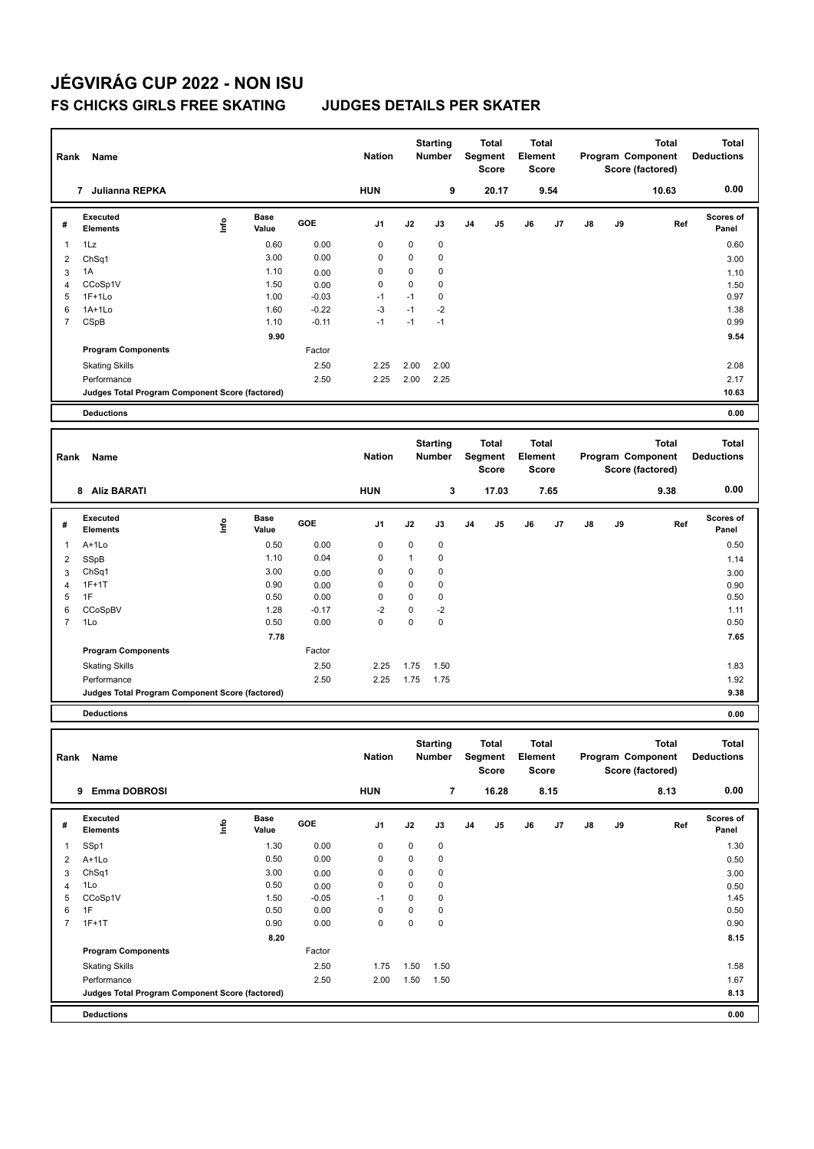| Rank           | Name                                            |                                  |                      |                 | <b>Nation</b> |              | <b>Starting</b><br>Number |                | <b>Total</b><br>Segment<br><b>Score</b> | Total<br>Element<br>Score |              |    |    | <b>Total</b><br>Program Component<br>Score (factored) | <b>Total</b><br><b>Deductions</b> |
|----------------|-------------------------------------------------|----------------------------------|----------------------|-----------------|---------------|--------------|---------------------------|----------------|-----------------------------------------|---------------------------|--------------|----|----|-------------------------------------------------------|-----------------------------------|
|                | 7 Julianna REPKA                                |                                  |                      |                 | <b>HUN</b>    |              | 9                         |                | 20.17                                   |                           | 9.54         |    |    | 10.63                                                 | 0.00                              |
| #              | <b>Executed</b><br><b>Elements</b>              | $\mathop{\mathsf{Int}}\nolimits$ | <b>Base</b><br>Value | GOE             | J1            | J2           | J3                        | J <sub>4</sub> | J5                                      | J6                        | J7           | J8 | J9 | Ref                                                   | Scores of<br>Panel                |
| 1              | 1Lz                                             |                                  | 0.60                 | 0.00            | 0             | 0            | 0                         |                |                                         |                           |              |    |    |                                                       | 0.60                              |
| $\overline{2}$ | ChSq1                                           |                                  | 3.00                 | 0.00            | 0             | 0            | 0                         |                |                                         |                           |              |    |    |                                                       | 3.00                              |
| 3              | 1A                                              |                                  | 1.10                 | 0.00            | 0             | 0            | 0                         |                |                                         |                           |              |    |    |                                                       | 1.10                              |
| 4              | CCoSp1V                                         |                                  | 1.50                 | 0.00            | 0             | 0            | 0                         |                |                                         |                           |              |    |    |                                                       | 1.50                              |
| 5              | $1F+1Lo$                                        |                                  | 1.00                 | $-0.03$         | $-1$          | $-1$         | 0                         |                |                                         |                           |              |    |    |                                                       | 0.97                              |
| 6              | $1A+1Lo$                                        |                                  | 1.60                 | $-0.22$         | $-3$          | $-1$         | $-2$                      |                |                                         |                           |              |    |    |                                                       | 1.38                              |
| $\overline{7}$ | CSpB                                            |                                  | 1.10                 | $-0.11$         | $-1$          | $-1$         | $-1$                      |                |                                         |                           |              |    |    |                                                       | 0.99                              |
|                |                                                 |                                  | 9.90                 |                 |               |              |                           |                |                                         |                           |              |    |    |                                                       | 9.54                              |
|                | <b>Program Components</b>                       |                                  |                      | Factor          |               |              |                           |                |                                         |                           |              |    |    |                                                       |                                   |
|                | <b>Skating Skills</b>                           |                                  |                      | 2.50            | 2.25          | 2.00         | 2.00                      |                |                                         |                           |              |    |    |                                                       | 2.08                              |
|                | Performance                                     |                                  |                      | 2.50            | 2.25          | 2.00         | 2.25                      |                |                                         |                           |              |    |    |                                                       | 2.17                              |
|                | Judges Total Program Component Score (factored) |                                  |                      |                 |               |              |                           |                |                                         |                           |              |    |    |                                                       | 10.63                             |
|                | <b>Deductions</b>                               |                                  |                      |                 |               |              |                           |                |                                         |                           |              |    |    |                                                       | 0.00                              |
|                |                                                 |                                  |                      |                 |               |              | <b>Starting</b>           |                | <b>Total</b>                            |                           | <b>Total</b> |    |    | <b>Total</b>                                          | <b>Total</b>                      |
| Rank           | Name                                            |                                  |                      |                 | <b>Nation</b> |              | Number                    |                | Segment<br><b>Score</b>                 | Element                   | Score        |    |    | Program Component<br>Score (factored)                 | <b>Deductions</b>                 |
|                | 8 Alíz BARATI                                   |                                  |                      |                 | <b>HUN</b>    |              | 3                         |                | 17.03                                   |                           | 7.65         |    |    | 9.38                                                  | 0.00                              |
| #              | Executed                                        | $\mathop{\mathsf{Irr}}\nolimits$ | Base                 | GOE             | J1            | J2           | J3                        | J4             | J5                                      | J6                        | J7           | J8 | J9 | Ref                                                   | Scores of                         |
|                | <b>Elements</b>                                 |                                  | Value                |                 |               |              |                           |                |                                         |                           |              |    |    |                                                       | Panel                             |
| 1              | A+1Lo                                           |                                  | 0.50                 | 0.00            | 0             | 0            | 0                         |                |                                         |                           |              |    |    |                                                       | 0.50                              |
| 2              | SSpB                                            |                                  | 1.10                 | 0.04            | 0             | $\mathbf{1}$ | 0                         |                |                                         |                           |              |    |    |                                                       | 1.14                              |
| 3              | Ch <sub>Sq1</sub>                               |                                  | 3.00                 | 0.00            | 0             | 0            | 0                         |                |                                         |                           |              |    |    |                                                       | 3.00                              |
| 4              | $1F+1T$                                         |                                  | 0.90                 | 0.00            | 0             | $\mathbf 0$  | 0                         |                |                                         |                           |              |    |    |                                                       | 0.90                              |
| 5              | 1F                                              |                                  | 0.50                 | 0.00            | 0             | $\mathbf 0$  | 0                         |                |                                         |                           |              |    |    |                                                       | 0.50                              |
| 6              | CCoSpBV                                         |                                  | 1.28                 | $-0.17$         | $-2$          | 0            | $-2$                      |                |                                         |                           |              |    |    |                                                       | 1.11                              |
| 7              | 1Lo                                             |                                  | 0.50                 | 0.00            | 0             | 0            | 0                         |                |                                         |                           |              |    |    |                                                       | 0.50                              |
|                |                                                 |                                  | 7.78                 |                 |               |              |                           |                |                                         |                           |              |    |    |                                                       | 7.65                              |
|                | <b>Program Components</b>                       |                                  |                      | Factor          |               |              |                           |                |                                         |                           |              |    |    |                                                       |                                   |
|                | <b>Skating Skills</b>                           |                                  |                      | 2.50            | 2.25          | 1.75         | 1.50                      |                |                                         |                           |              |    |    |                                                       | 1.83                              |
|                | Performance                                     |                                  |                      | 2.50            | 2.25          | 1.75         | 1.75                      |                |                                         |                           |              |    |    |                                                       | 1.92                              |
|                | Judges Total Program Component Score (factored) |                                  |                      |                 |               |              |                           |                |                                         |                           |              |    |    |                                                       | 9.38                              |
|                | <b>Deductions</b>                               |                                  |                      |                 |               |              |                           |                |                                         |                           |              |    |    |                                                       | 0.00                              |
|                |                                                 |                                  |                      |                 |               |              |                           |                |                                         |                           |              |    |    |                                                       |                                   |
|                |                                                 |                                  |                      |                 | <b>Nation</b> |              | <b>Starting</b>           |                | Total                                   |                           | <b>Total</b> |    |    | <b>Total</b><br>Program Component                     | <b>Total</b><br><b>Deductions</b> |
|                | Rank Name                                       |                                  |                      |                 |               |              | Number Segment Element    |                | Score                                   |                           | <b>Score</b> |    |    | Score (factored)                                      |                                   |
|                | 9 Emma DOBROSI                                  |                                  |                      |                 | <b>HUN</b>    |              | $\overline{\phantom{a}}$  |                | 16.28                                   |                           | 8.15         |    |    | 8.13                                                  | 0.00                              |
|                |                                                 |                                  |                      |                 |               |              |                           |                |                                         |                           |              |    |    |                                                       |                                   |
| #              | Executed<br><b>Elements</b>                     | $\mathop{\mathsf{Irr}}\nolimits$ | Base<br>Value        | GOE             | J1            | J2           | J3                        | J4             | J5                                      | J6                        | J7           | J8 | J9 | Ref                                                   | Scores of                         |
|                |                                                 |                                  |                      |                 |               |              |                           |                |                                         |                           |              |    |    |                                                       | Panel                             |
| 1              | SSp1                                            |                                  | 1.30                 | 0.00            | 0             | 0            | 0                         |                |                                         |                           |              |    |    |                                                       | 1.30                              |
| 2              | A+1Lo                                           |                                  | 0.50                 | 0.00            | 0             | 0            | $\pmb{0}$                 |                |                                         |                           |              |    |    |                                                       | 0.50                              |
| 3              | ChSq1                                           |                                  | 3.00                 | 0.00            | 0             | 0            | 0                         |                |                                         |                           |              |    |    |                                                       | 3.00                              |
| $\overline{4}$ | 1Lo                                             |                                  | 0.50                 | 0.00            | 0             | 0            | 0                         |                |                                         |                           |              |    |    |                                                       | 0.50                              |
| 5<br>6         | CCoSp1V<br>1F                                   |                                  | 1.50<br>0.50         | $-0.05$<br>0.00 | -1<br>0       | 0<br>0       | 0<br>0                    |                |                                         |                           |              |    |    |                                                       | 1.45<br>0.50                      |
| $\overline{7}$ | $1F+1T$                                         |                                  | 0.90                 | 0.00            | 0             | 0            | $\pmb{0}$                 |                |                                         |                           |              |    |    |                                                       | 0.90                              |
|                |                                                 |                                  |                      |                 |               |              |                           |                |                                         |                           |              |    |    |                                                       |                                   |
|                | <b>Program Components</b>                       |                                  | 8.20                 |                 |               |              |                           |                |                                         |                           |              |    |    |                                                       | 8.15                              |
|                |                                                 |                                  |                      | Factor          |               |              |                           |                |                                         |                           |              |    |    |                                                       |                                   |
|                | <b>Skating Skills</b>                           |                                  |                      | 2.50            | 1.75          | 1.50         | 1.50                      |                |                                         |                           |              |    |    |                                                       | 1.58                              |
|                | Performance                                     |                                  |                      | 2.50            | 2.00          | 1.50         | 1.50                      |                |                                         |                           |              |    |    |                                                       | 1.67                              |
|                | Judges Total Program Component Score (factored) |                                  |                      |                 |               |              |                           |                |                                         |                           |              |    |    |                                                       | 8.13                              |
|                | <b>Deductions</b>                               |                                  |                      |                 |               |              |                           |                |                                         |                           |              |    |    |                                                       | 0.00                              |